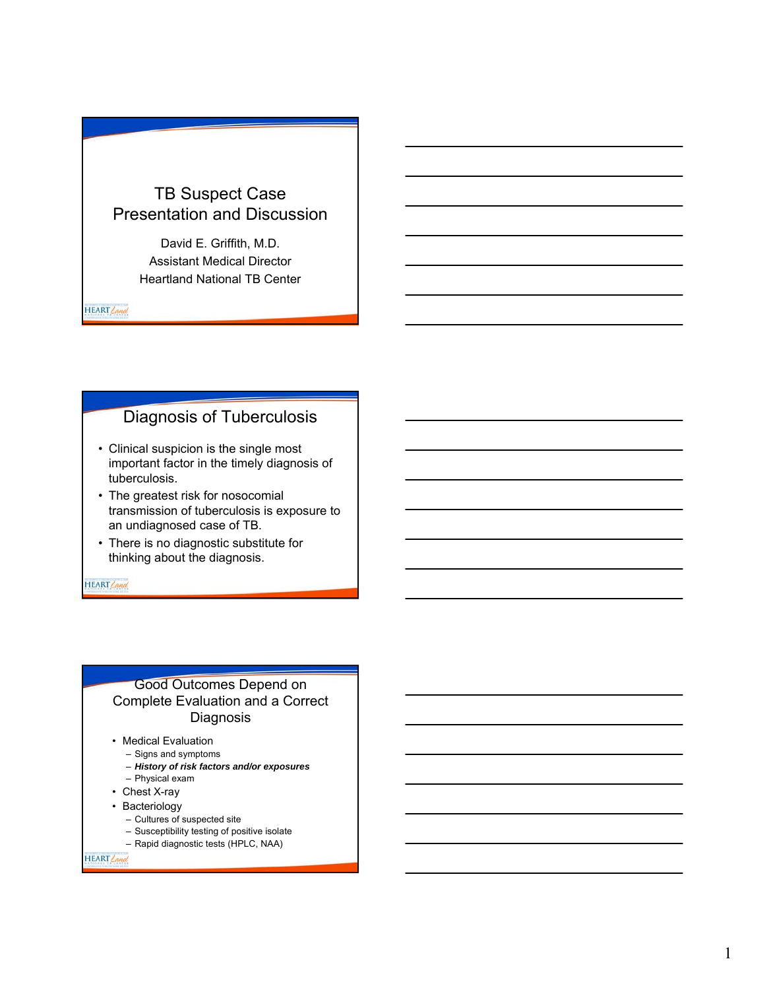# TB Suspect Case Presentation and Discussion

David E. Griffith, M.D. Assistant Medical Director Heartland National TB Center

HEART Land

## Diagnosis of Tuberculosis

- Clinical suspicion is the single most important factor in the timely diagnosis of tuberculosis.
- The greatest risk for nosocomial transmission of tuberculosis is exposure to an undiagnosed case of TB.
- There is no diagnostic substitute for thinking about the diagnosis.

HEART Land

#### Good Outcomes Depend on Complete Evaluation and a Correct Diagnosis

- Medical Evaluation
	- Signs and symptoms
	- *History of risk factors and/or exposures*
	- Physical exam
- Chest X-ray
- Bacteriology
	- Cultures of suspected site
	- Susceptibility testing of positive isolate
	- Rapid diagnostic tests (HPLC, NAA)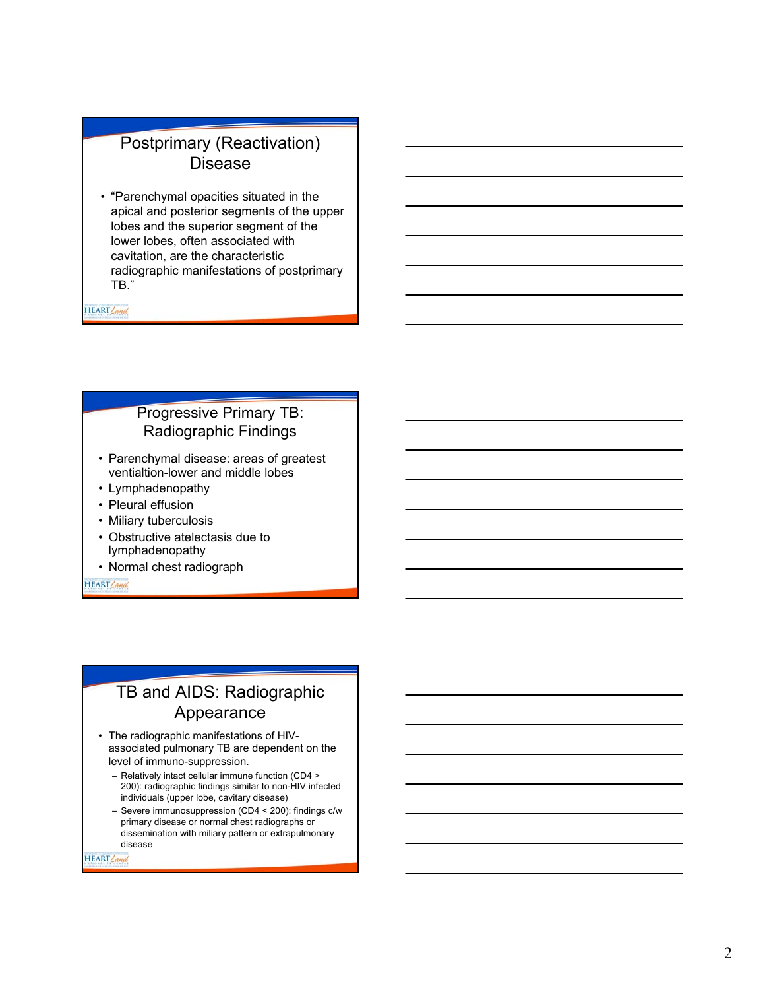## Postprimary (Reactivation) Disease

• "Parenchymal opacities situated in the apical and posterior segments of the upper lobes and the superior segment of the lower lobes, often associated with cavitation, are the characteristic radiographic manifestations of postprimary TB."

HEART Land

### Progressive Primary TB: Radiographic Findings

- Parenchymal disease: areas of greatest ventialtion-lower and middle lobes
- Lymphadenopathy
- Pleural effusion
- Miliary tuberculosis
- Obstructive atelectasis due to lymphadenopathy
- Normal chest radiograph

HEART Land

# TB and AIDS: Radiographic Appearance

- The radiographic manifestations of HIVassociated pulmonary TB are dependent on the level of immuno-suppression.
	- Relatively intact cellular immune function (CD4 > 200): radiographic findings similar to non-HIV infected individuals (upper lobe, cavitary disease)
	- Severe immunosuppression (CD4 < 200): findings c/w primary disease or normal chest radiographs or dissemination with miliary pattern or extrapulmonary disease

HEART Can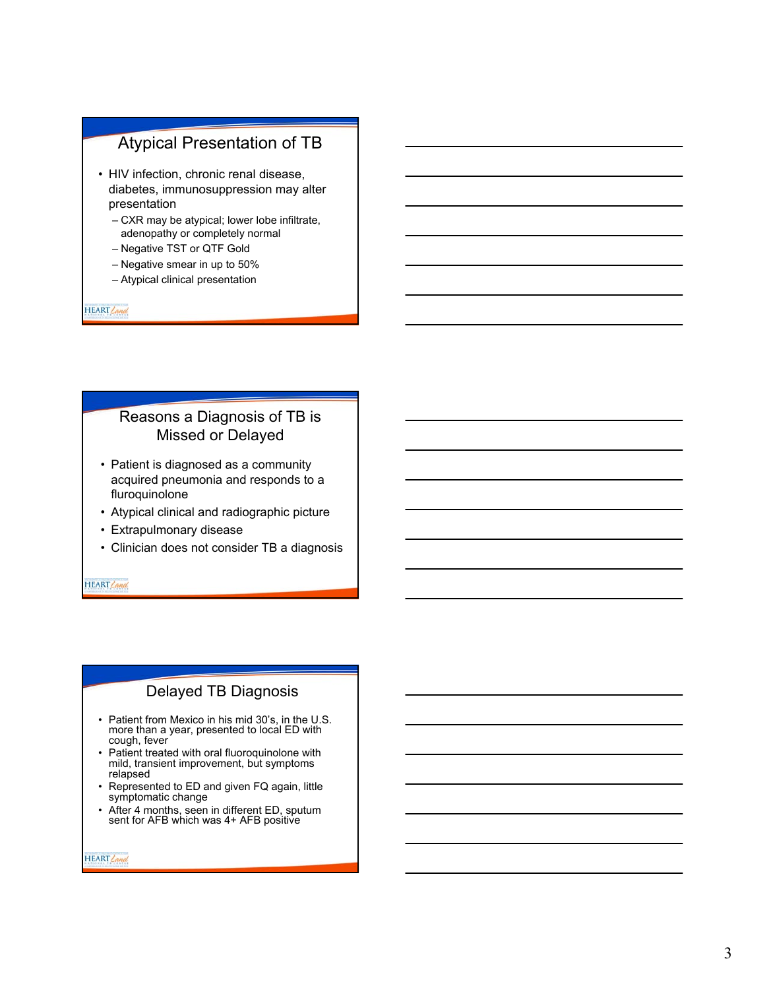# Atypical Presentation of TB

- HIV infection, chronic renal disease, diabetes, immunosuppression may alter presentation
	- CXR may be atypical; lower lobe infiltrate, adenopathy or completely normal
	- Negative TST or QTF Gold
	- Negative smear in up to 50%
	- Atypical clinical presentation

HEART Land

#### Reasons a Diagnosis of TB is Missed or Delayed

- Patient is diagnosed as a community acquired pneumonia and responds to a fluroquinolone
- Atypical clinical and radiographic picture
- Extrapulmonary disease
- Clinician does not consider TB a diagnosis

HEART Land

#### Delayed TB Diagnosis

- Patient from Mexico in his mid 30's, in the U.S. more than a year, presented to local ED with cough, fever
- Patient treated with oral fluoroquinolone with mild, transient improvement, but symptoms relapsed
- Represented to ED and given FQ again, little symptomatic change
- After 4 months, seen in different ED, sputum sent for AFB which was 4+ AFB positive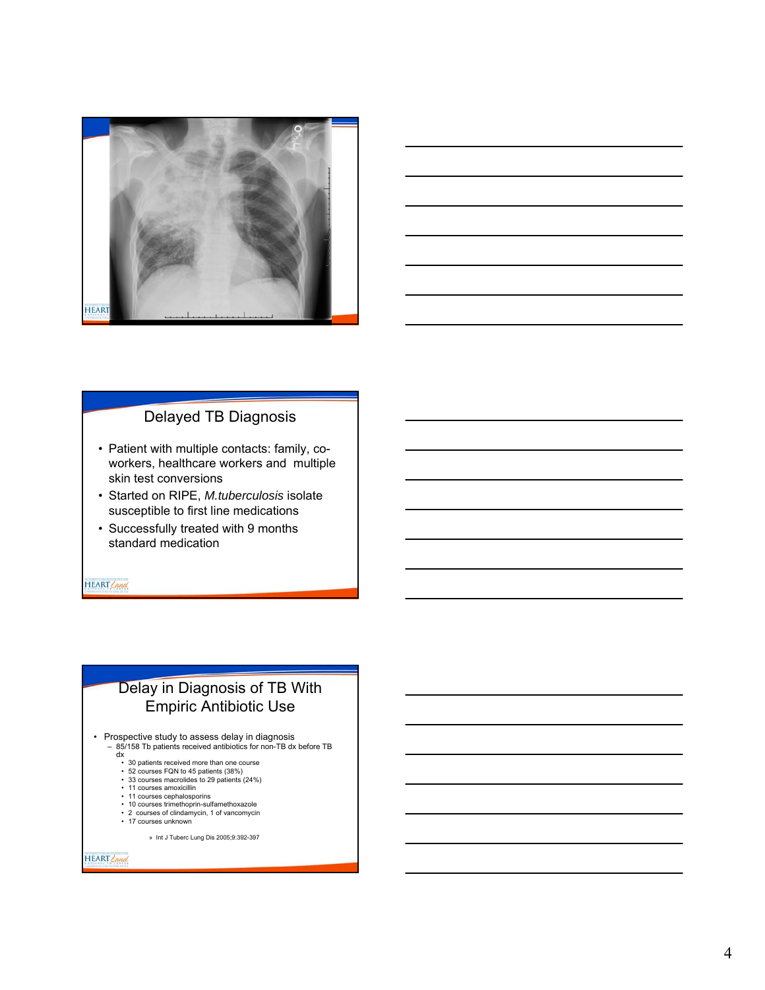



- Patient with multiple contacts: family, coworkers, healthcare workers and multiple skin test conversions
- Started on RIPE, *M.tuberculosis* isolate susceptible to first line medications
- Successfully treated with 9 months standard medication

**HEART** Land

#### Delay in Diagnosis of TB With Empiric Antibiotic Use

• Prospective study to assess delay in diagnosis

- 85/158 Tb patients received antibiotics for non-TB dx before TB dx
	-
	- 30 patients received more than one course 52 courses FQN to 45 patients (38%) 33 courses macrolides to 29 patients (24%)
	-
	- 11 courses amoxicillin 11 courses cephalosporins
	- 10 courses trimethoprin-sulfamethoxazole
	- 2 courses of clindamycin, 1 of vancomycin • 17 courses unknown

» Int J Tuberc Lung Dis 2005;9:392-397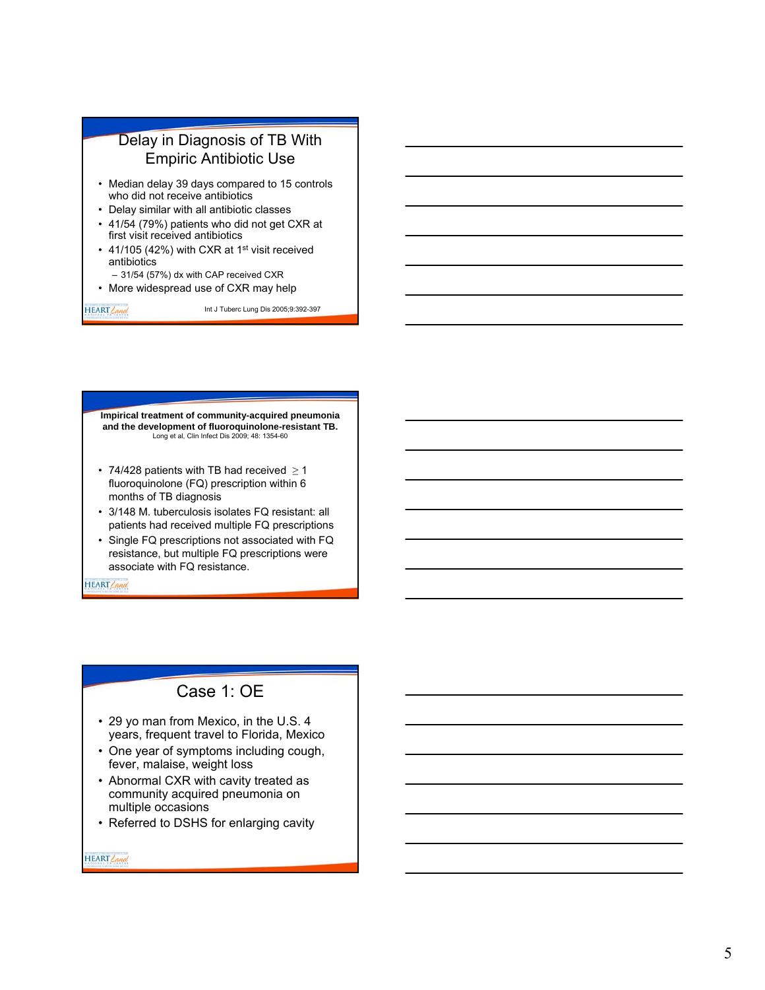

**Impirical treatment of community-acquired pneumonia and the development of fluoroquinolone-resistant TB.**  Long et al, Clin Infect Dis 2009; 48: 1354-60

- 74/428 patients with TB had received  $\geq 1$ fluoroquinolone (FQ) prescription within 6 months of TB diagnosis
- 3/148 M. tuberculosis isolates FQ resistant: all patients had received multiple FQ prescriptions
- Single FQ prescriptions not associated with FQ resistance, but multiple FQ prescriptions were associate with FQ resistance.

HEART Land

### Case 1: OE

- 29 yo man from Mexico, in the U.S. 4 years, frequent travel to Florida, Mexico
- One year of symptoms including cough, fever, malaise, weight loss
- Abnormal CXR with cavity treated as community acquired pneumonia on multiple occasions
- Referred to DSHS for enlarging cavity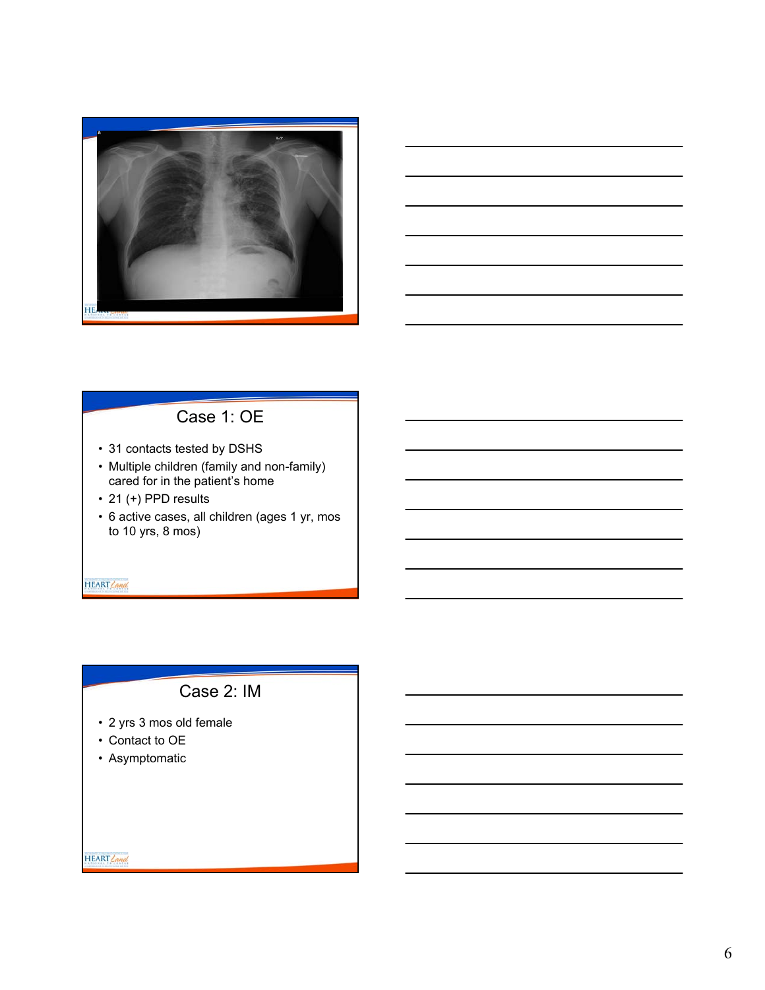



# Case 1: OE

- 31 contacts tested by DSHS
- Multiple children (family and non-family) cared for in the patient's home
- 21 (+) PPD results
- 6 active cases, all children (ages 1 yr, mos to 10 yrs, 8 mos)

HEART Land

# Case 2: IM

- 2 yrs 3 mos old female
- Contact to OE
- Asymptomatic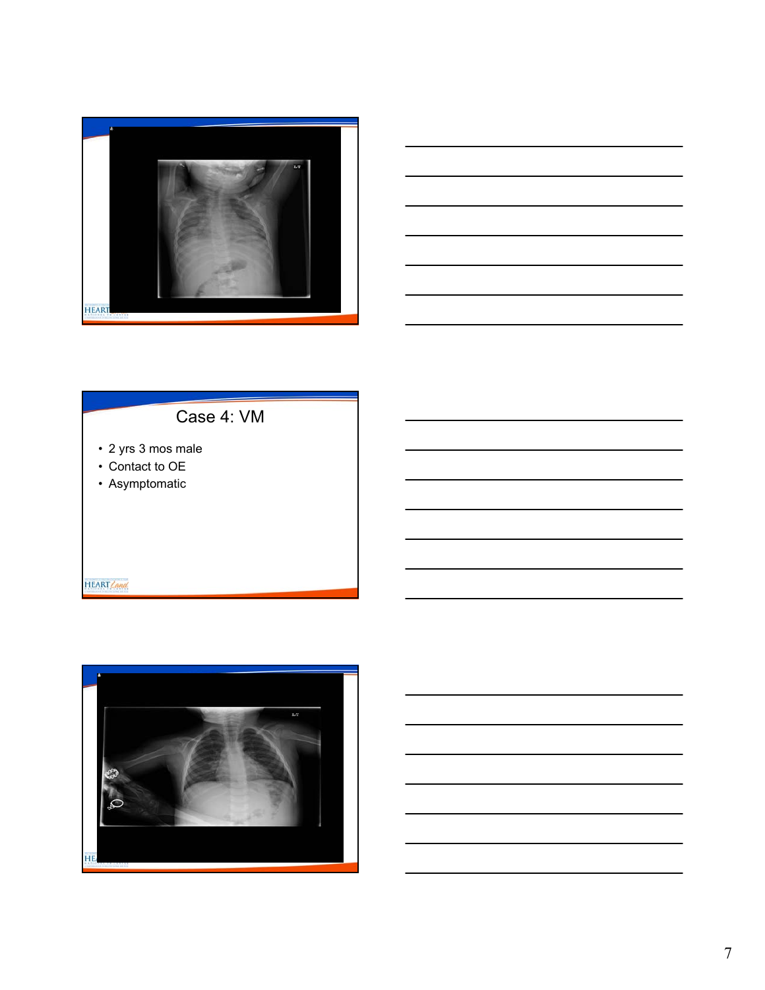



# Case 4: VM

- 2 yrs 3 mos male
- Contact to OE
- Asymptomatic

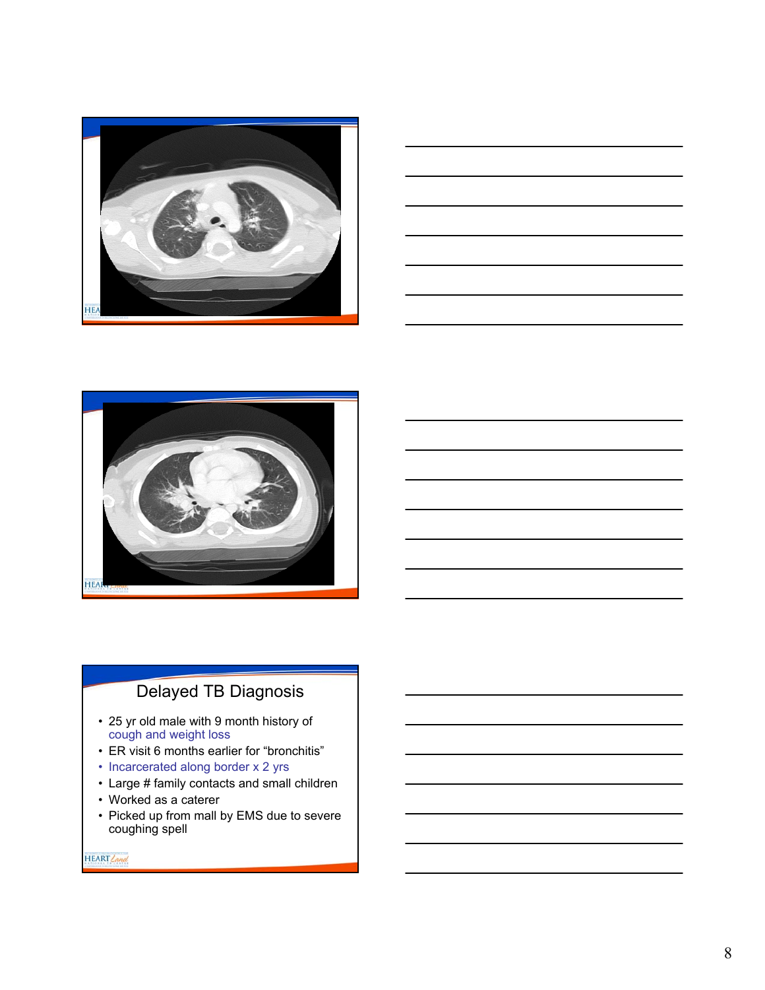





- 25 yr old male with 9 month history of cough and weight loss
- ER visit 6 months earlier for "bronchitis"
- Incarcerated along border x 2 yrs
- Large # family contacts and small children
- Worked as a caterer
- Picked up from mall by EMS due to severe coughing spell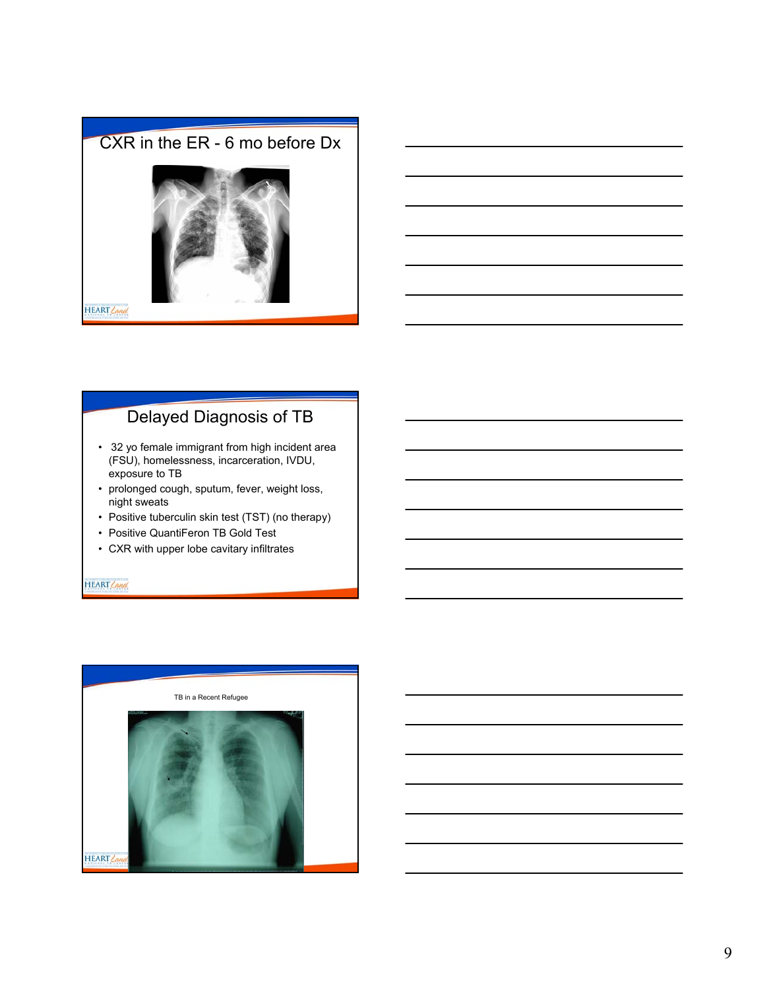



# Delayed Diagnosis of TB

- 32 yo female immigrant from high incident area (FSU), homelessness, incarceration, IVDU, exposure to TB
- prolonged cough, sputum, fever, weight loss, night sweats
- Positive tuberculin skin test (TST) (no therapy)
- Positive QuantiFeron TB Gold Test
- CXR with upper lobe cavitary infiltrates

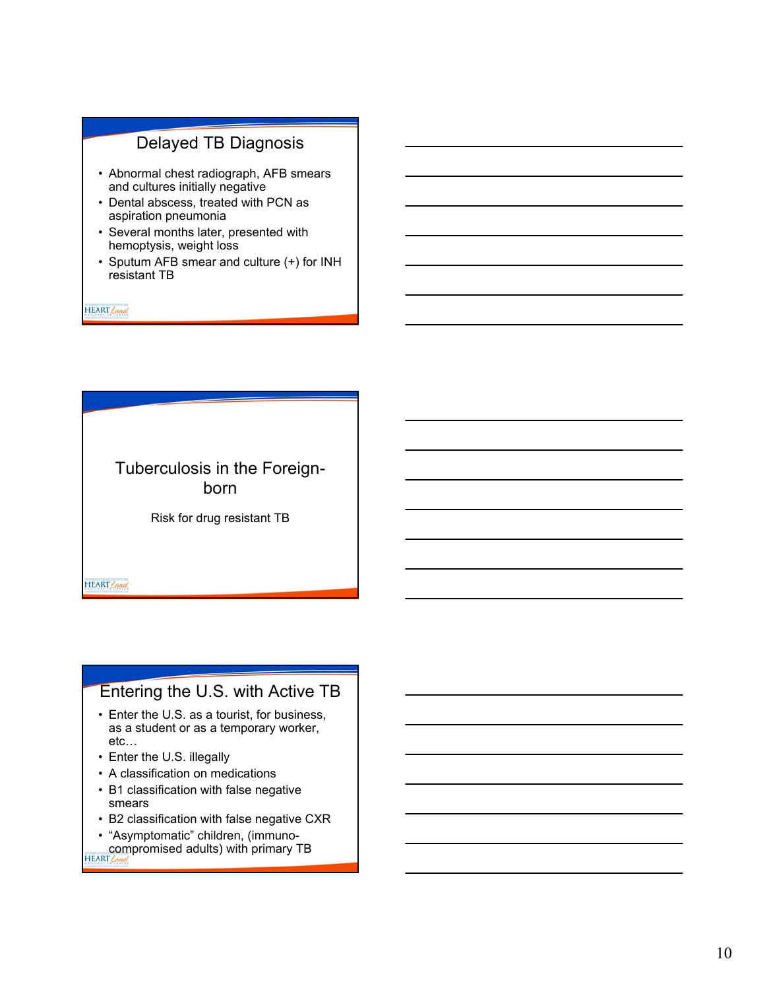- Abnormal chest radiograph, AFB smears and cultures initially negative
- Dental abscess, treated with PCN as aspiration pneumonia
- Several months later, presented with hemoptysis, weight loss
- Sputum AFB smear and culture (+) for INH resistant TB

HEART Land

Tuberculosis in the Foreignborn

Risk for drug resistant TB

HEART Land

#### Entering the U.S. with Active TB

- Enter the U.S. as a tourist, for business, as a student or as a temporary worker, etc…
- Enter the U.S. illegally
- A classification on medications
- B1 classification with false negative smears
- B2 classification with false negative CXR
- "Asymptomatic" children, (immunocompromised adults) with primary TB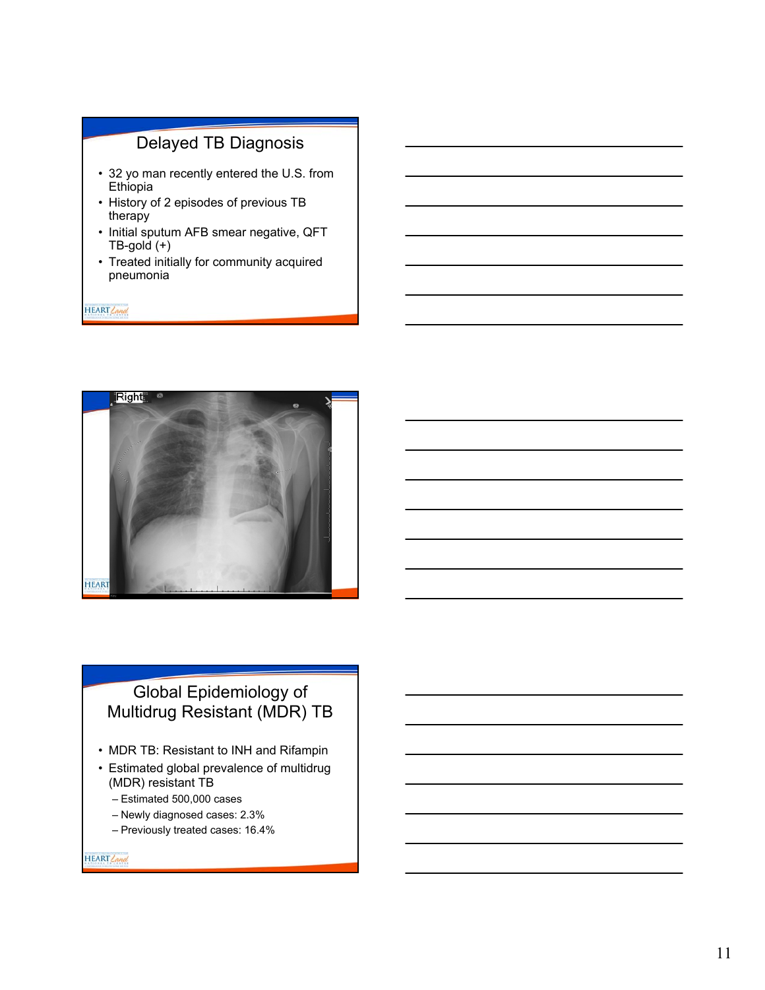- 32 yo man recently entered the U.S. from **Ethiopia**
- History of 2 episodes of previous TB therapy
- Initial sputum AFB smear negative, QFT TB-gold (+)
- Treated initially for community acquired pneumonia

HEART Land



# Global Epidemiology of Multidrug Resistant (MDR) TB

- MDR TB: Resistant to INH and Rifampin
- Estimated global prevalence of multidrug (MDR) resistant TB
	- Estimated 500,000 cases
	- Newly diagnosed cases: 2.3% – Previously treated cases: 16.4%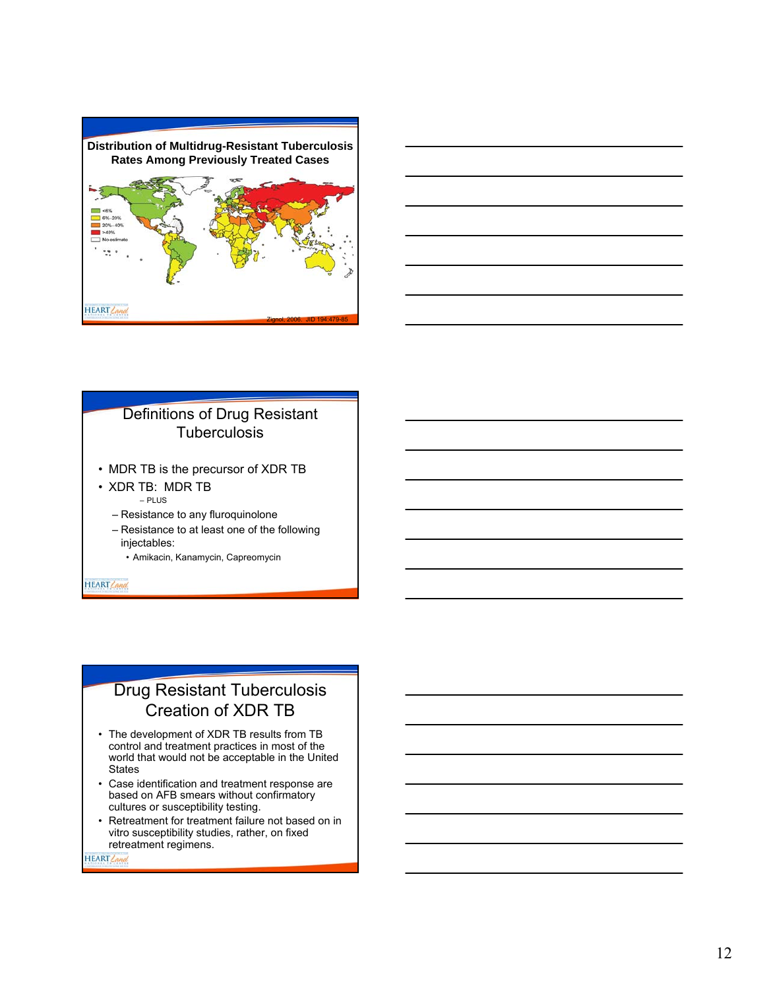



### Definitions of Drug Resistant **Tuberculosis**

- MDR TB is the precursor of XDR TB
- XDR TB: MDR TB – PLUS
	- Resistance to any fluroquinolone
	- Resistance to at least one of the following injectables:
		- Amikacin, Kanamycin, Capreomycin

HEART Land

# Drug Resistant Tuberculosis Creation of XDR TB

- The development of XDR TB results from TB control and treatment practices in most of the world that would not be acceptable in the United **States**
- Case identification and treatment response are based on AFB smears without confirmatory cultures or susceptibility testing.
- Retreatment for treatment failure not based on in vitro susceptibility studies, rather, on fixed retreatment regimens.

**HEART** Can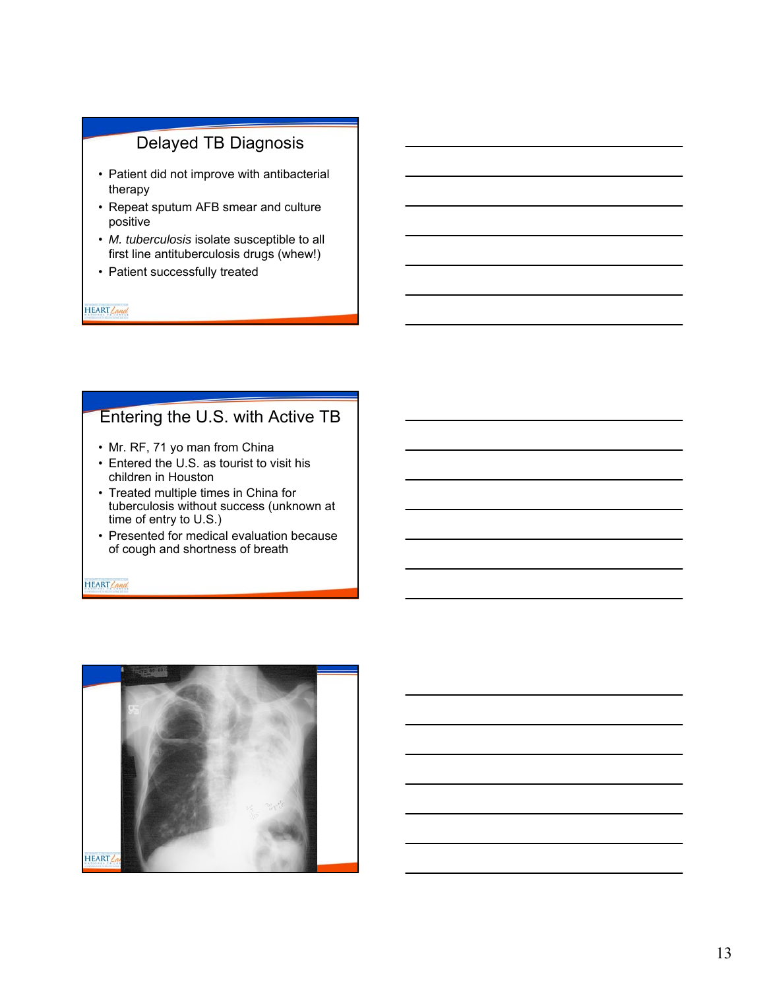- Patient did not improve with antibacterial therapy
- Repeat sputum AFB smear and culture positive
- *M. tuberculosis* isolate susceptible to all first line antituberculosis drugs (whew!)
- Patient successfully treated

HEART Land

## Entering the U.S. with Active TB

- Mr. RF, 71 yo man from China
- Entered the U.S. as tourist to visit his children in Houston
- Treated multiple times in China for tuberculosis without success (unknown at time of entry to U.S.)
- Presented for medical evaluation because of cough and shortness of breath

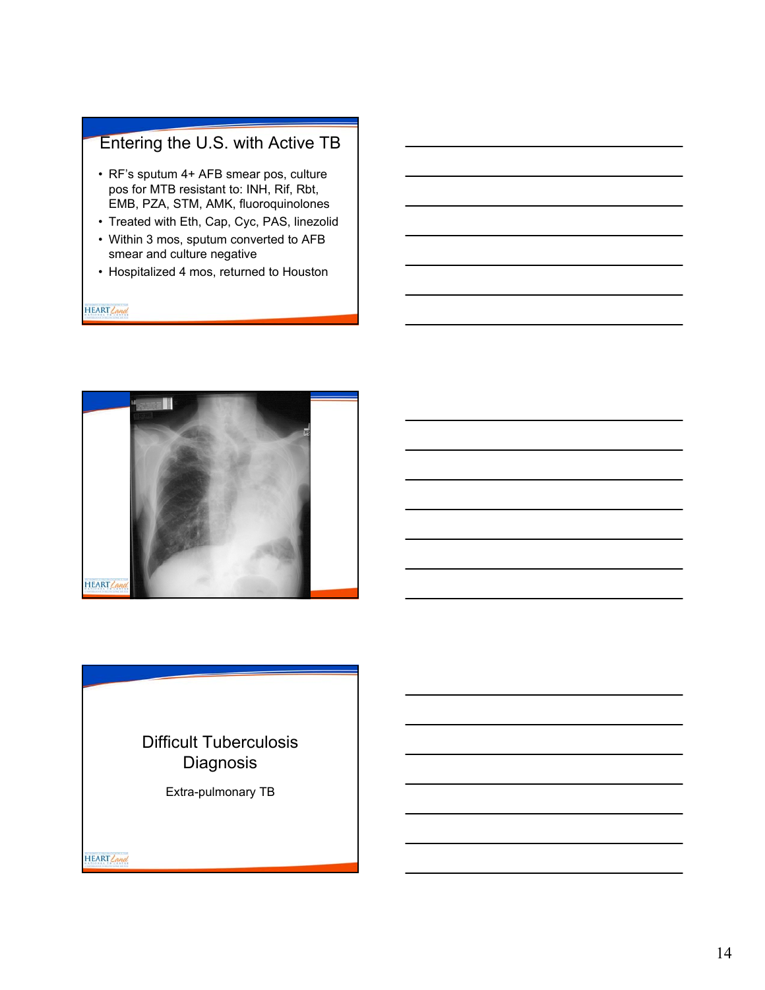# Entering the U.S. with Active TB

- RF's sputum 4+ AFB smear pos, culture pos for MTB resistant to: INH, Rif, Rbt, EMB, PZA, STM, AMK, fluoroquinolones
- Treated with Eth, Cap, Cyc, PAS, linezolid
- Within 3 mos, sputum converted to AFB smear and culture negative
- Hospitalized 4 mos, returned to Houston

HEART Land



# Difficult Tuberculosis **Diagnosis**

Extra-pulmonary TB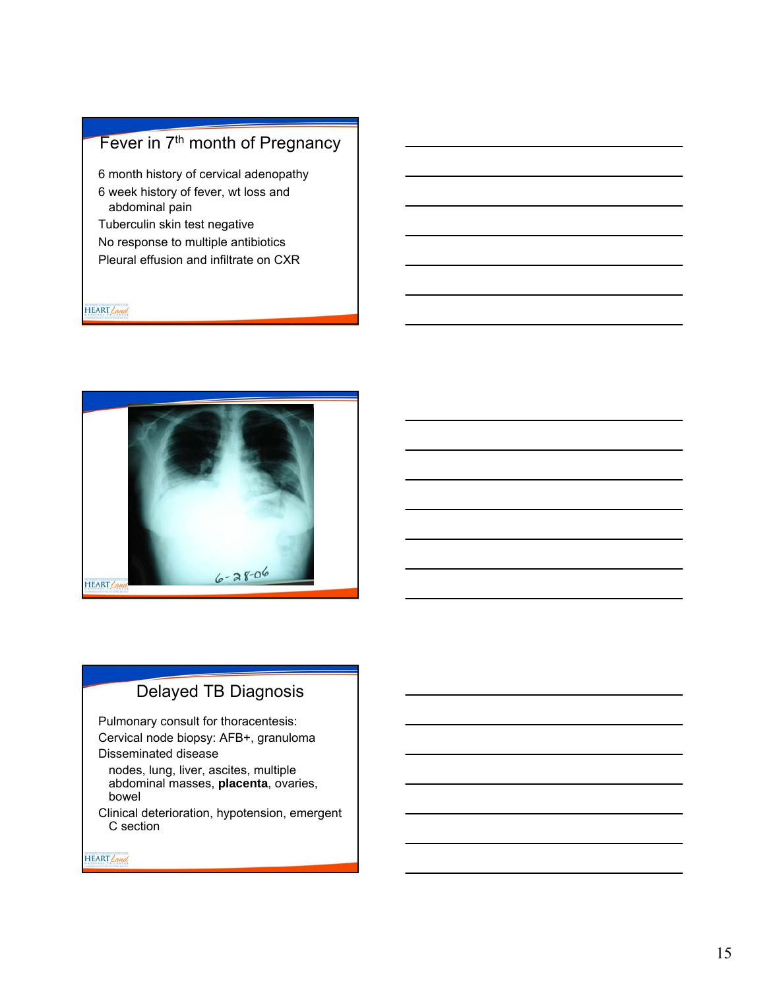# Fever in 7<sup>th</sup> month of Pregnancy

- 6 month history of cervical adenopathy
- 6 week history of fever, wt loss and abdominal pain
- Tuberculin skin test negative
- No response to multiple antibiotics
- Pleural effusion and infiltrate on CXR

HEART Land



# Delayed TB Diagnosis

Pulmonary consult for thoracentesis: Cervical node biopsy: AFB+, granuloma Disseminated disease

nodes, lung, liver, ascites, multiple abdominal masses, **placenta**, ovaries, bowel

Clinical deterioration, hypotension, emergent C section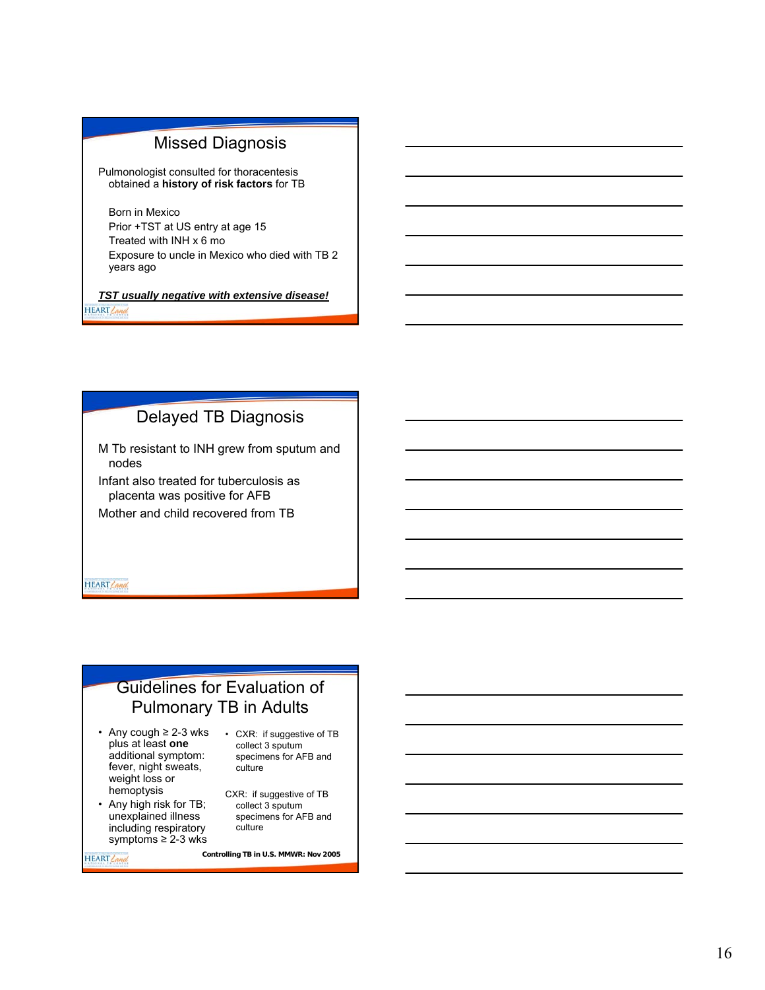## Missed Diagnosis

Pulmonologist consulted for thoracentesis obtained a **history of risk factors** for TB

Born in Mexico Prior +TST at US entry at age 15 Treated with INH x 6 mo Exposure to uncle in Mexico who died with TB 2 years ago

*TST usually negative with extensive disease!* HEART Land

# Delayed TB Diagnosis

M Tb resistant to INH grew from sputum and nodes

Infant also treated for tuberculosis as placenta was positive for AFB Mother and child recovered from TB

**HEART** Land

# Guidelines for Evaluation of Pulmonary TB in Adults

- Any cough ≥ 2-3 wks plus at least **one**  additional symptom: fever, night sweats, weight loss or hemoptysis
- Any high risk for TB; unexplained illness including respiratory symptoms ≥ 2-3 wks

• CXR: if suggestive of TB collect 3 sputum specimens for AFB and culture

CXR: if suggestive of TB collect 3 sputum specimens for AFB and culture

HEART Land

**Controlling TB in U.S. MMWR: Nov 2005**